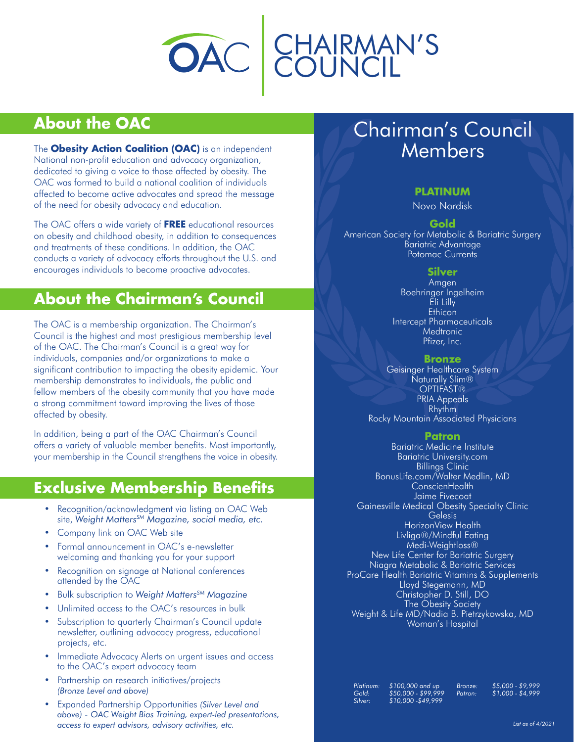

## **About the OAC**

The **Obesity Action Coalition (OAC)** is an independent National non-profit education and advocacy organization, dedicated to giving a voice to those affected by obesity. The OAC was formed to build a national coalition of individuals affected to become active advocates and spread the message of the need for obesity advocacy and education.

The OAC offers a wide variety of **FREE** educational resources on obesity and childhood obesity, in addition to consequences and treatments of these conditions. In addition, the OAC conducts a variety of advocacy efforts throughout the U.S. and encourages individuals to become proactive advocates.

## **About the Chairman's Council**

The OAC is a membership organization. The Chairman's Council is the highest and most prestigious membership level of the OAC. The Chairman's Council is a great way for individuals, companies and/or organizations to make a significant contribution to impacting the obesity epidemic. Your membership demonstrates to individuals, the public and fellow members of the obesity community that you have made a strong commitment toward improving the lives of those affected by obesity.

In addition, being a part of the OAC Chairman's Council offers a variety of valuable member benefits. Most importantly, your membership in the Council strengthens the voice in obesity.

## **Exclusive Membership Benefits**

- Recognition/acknowledgment via listing on OAC Web site, *Weight MattersSM Magazine, social media, etc.*
- Company link on OAC Web site
- Formal announcement in OAC's e-newsletter welcoming and thanking you for your support
- Recognition on signage at National conferences attended by the OAC
- Bulk subscription to *Weight MattersSM Magazine*
- Unlimited access to the OAC's resources in bulk
- Subscription to quarterly Chairman's Council update newsletter, outlining advocacy progress, educational projects, etc.
- Immediate Advocacy Alerts on urgent issues and access to the OAC's expert advocacy team
- Partnership on research initiatives/projects *(Bronze Level and above)*
- Expanded Partnership Opportunities *(Silver Level and above) - OAC Weight Bias Training, expert-led presentations, access to expert advisors, advisory activities, etc.*

# Chairman's Council Members

### **PLATINUM**

Novo Nordisk

**Gold** American Society for Metabolic & Bariatric Surgery Bariatric Advantage Potomac Currents

### **Silver**

Amgen Boehringer Ingelheim Eli Lilly **Ethicon** Intercept Pharmaceuticals **Medtronic** Pfizer, Inc.

**Bronze**

Geisinger Healthcare System Naturally Slim® OPTIFAST® PRIA Appeals Rhythm Rocky Mountain Associated Physicians

#### **Patron**

Bariatric Medicine Institute Bariatric University.com Billings Clinic BonusLife.com/Walter Medlin, MD ConscienHealth Jaime Fivecoat Gainesville Medical Obesity Specialty Clinic **Gelesis** HorizonView Health Livliga®/Mindful Eating Medi-Weightloss® New Life Center for Bariatric Surgery Niagra Metabolic & Bariatric Services ProCare Health Bariatric Vitamins & Supplements Lloyd Stegemann, MD Christopher D. Still, DO The Obesity Society Weight & Life MD/Nadia<sup>'</sup> B. Pietrzykowska, MD Woman's Hospital

*Platinum: \$100,000 and up Gold: \$50,000 - \$99,999 Silver: \$10,000 -\$49,999*

*Bronze: \$5,000 - \$9,999 Patron: \$1,000 - \$4,999*